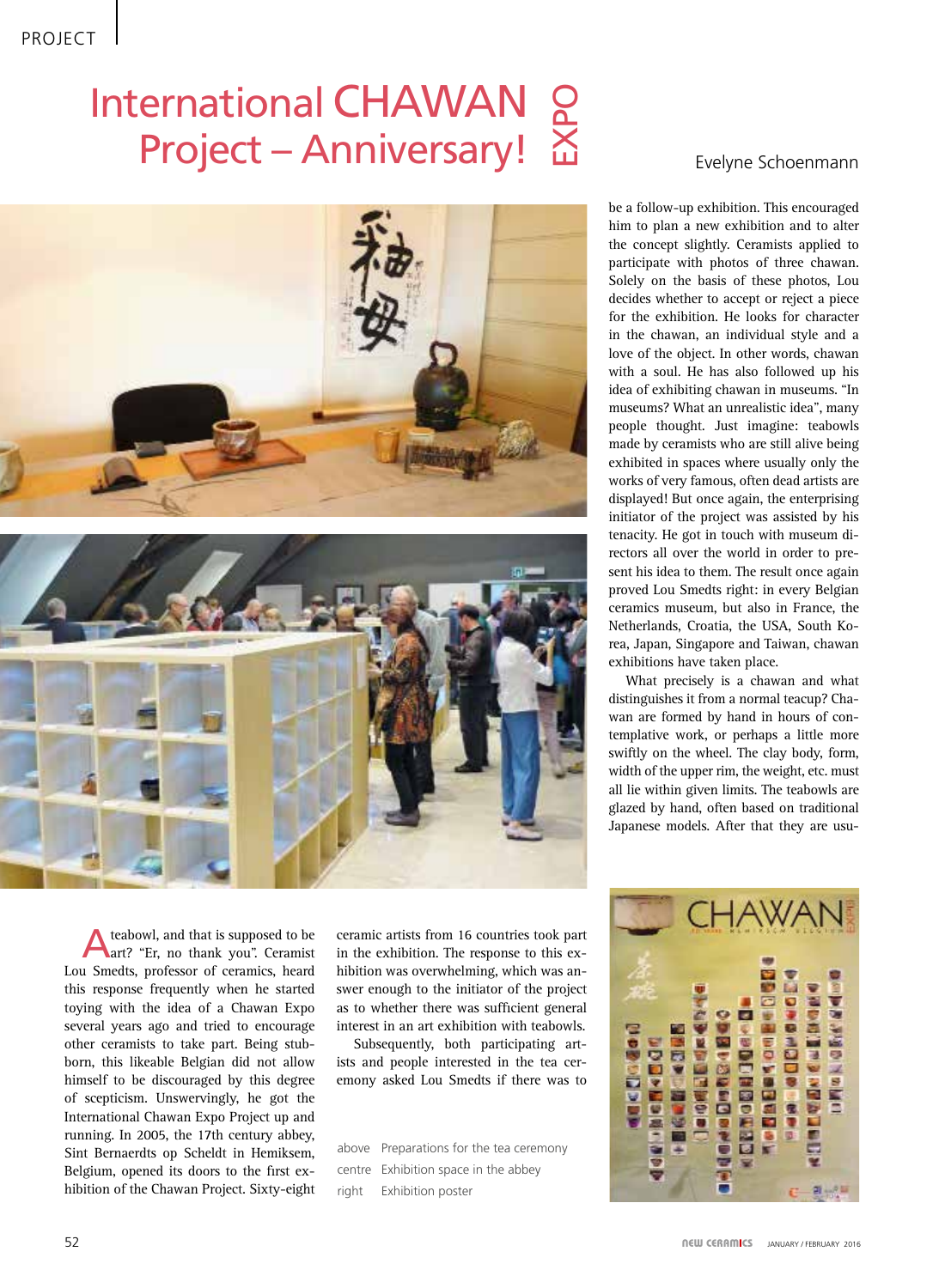## International CHAWAN  $Project - Anniversity!  $\Sigma$$  $\mathbf{\Omega}$ O





A teabowl, and that is supposed to be art? "Er, no thank you". Ceramist Lou Smedts, professor of ceramics, heard this response frequently when he started toying with the idea of a Chawan Expo several years ago and tried to encourage other ceramists to take part. Being stubborn, this likeable Belgian did not allow himself to be discouraged by this degree of scepticism. Unswervingly, he got the International Chawan Expo Project up and running. In 2005, the 17th century abbey, Sint Bernaerdts op Scheldt in Hemiksem, Belgium, opened its doors to the first exhibition of the Chawan Project. Sixty-eight

ceramic artists from 16 countries took part in the exhibition. The response to this exhibition was overwhelming, which was answer enough to the initiator of the project as to whether there was sufficient general interest in an art exhibition with teabowls.

Subsequently, both participating artists and people interested in the tea ceremony asked Lou Smedts if there was to

above Preparations for the tea ceremony centre Exhibition space in the abbey right Exhibition poster

be a follow-up exhibition. This encouraged him to plan a new exhibition and to alter the concept slightly. Ceramists applied to participate with photos of three chawan. Solely on the basis of these photos, Lou decides whether to accept or reject a piece for the exhibition. He looks for character in the chawan, an individual style and a love of the object. In other words, chawan with a soul. He has also followed up his idea of exhibiting chawan in museums. "In museums? What an unrealistic idea", many people thought. Just imagine: teabowls made by ceramists who are still alive being exhibited in spaces where usually only the works of very famous, often dead artists are displayed! But once again, the enterprising initiator of the project was assisted by his tenacity. He got in touch with museum directors all over the world in order to present his idea to them. The result once again proved Lou Smedts right: in every Belgian ceramics museum, but also in France, the Netherlands, Croatia, the USA, South Korea, Japan, Singapore and Taiwan, chawan exhibitions have taken place.

What precisely is a chawan and what distinguishes it from a normal teacup? Chawan are formed by hand in hours of contemplative work, or perhaps a little more swiftly on the wheel. The clay body, form, width of the upper rim, the weight, etc. must all lie within given limits. The teabowls are glazed by hand, often based on traditional Japanese models. After that they are usu-

**No. Sept. 24**